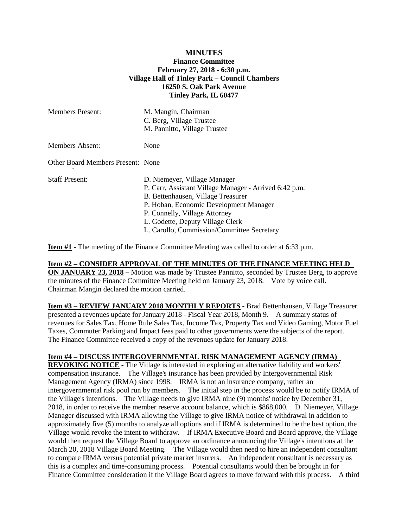## **MINUTES Finance Committee February 27, 2018 - 6:30 p.m. Village Hall of Tinley Park – Council Chambers 16250 S. Oak Park Avenue Tinley Park, IL 60477**

| <b>Members Present:</b>           | M. Mangin, Chairman<br>C. Berg, Village Trustee<br>M. Pannitto, Village Trustee                                                                                                                                                                                                           |
|-----------------------------------|-------------------------------------------------------------------------------------------------------------------------------------------------------------------------------------------------------------------------------------------------------------------------------------------|
| <b>Members Absent:</b>            | None                                                                                                                                                                                                                                                                                      |
| Other Board Members Present: None |                                                                                                                                                                                                                                                                                           |
| Staff Present:                    | D. Niemeyer, Village Manager<br>P. Carr, Assistant Village Manager - Arrived 6:42 p.m.<br>B. Bettenhausen, Village Treasurer<br>P. Hoban, Economic Development Manager<br>P. Connelly, Village Attorney<br>L. Godette, Deputy Village Clerk<br>L. Carollo, Commission/Committee Secretary |

**Item #1** - The meeting of the Finance Committee Meeting was called to order at 6:33 p.m.

## **Item #2 – CONSIDER APPROVAL OF THE MINUTES OF THE FINANCE MEETING HELD**

**ON JANUARY 23, 2018** – Motion was made by Trustee Pannitto, seconded by Trustee Berg, to approve the minutes of the Finance Committee Meeting held on January 23, 2018. Vote by voice call. Chairman Mangin declared the motion carried.

**Item #3 – REVIEW JANUARY 2018 MONTHLY REPORTS -** Brad Bettenhausen, Village Treasurer presented a revenues update for January 2018 - Fiscal Year 2018, Month 9. A summary status of revenues for Sales Tax, Home Rule Sales Tax, Income Tax, Property Tax and Video Gaming, Motor Fuel Taxes, Commuter Parking and Impact fees paid to other governments were the subjects of the report. The Finance Committee received a copy of the revenues update for January 2018.

## **Item #4 – DISCUSS INTERGOVERNMENTAL RISK MANAGEMENT AGENCY (IRMA)**

**REVOKING NOTICE -** The Village is interested in exploring an alternative liability and workers' compensation insurance. The Village's insurance has been provided by Intergovernmental Risk Management Agency (IRMA) since 1998. IRMA is not an insurance company, rather an intergovernmental risk pool run by members. The initial step in the process would be to notify IRMA of the Village's intentions. The Village needs to give IRMA nine (9) months' notice by December 31, 2018, in order to receive the member reserve account balance, which is \$868,000. D. Niemeyer, Village Manager discussed with IRMA allowing the Village to give IRMA notice of withdrawal in addition to approximately five (5) months to analyze all options and if IRMA is determined to be the best option, the Village would revoke the intent to withdraw. If IRMA Executive Board and Board approve, the Village would then request the Village Board to approve an ordinance announcing the Village's intentions at the March 20, 2018 Village Board Meeting. The Village would then need to hire an independent consultant to compare IRMA versus potential private market insurers. An independent consultant is necessary as this is a complex and time-consuming process. Potential consultants would then be brought in for Finance Committee consideration if the Village Board agrees to move forward with this process. A third